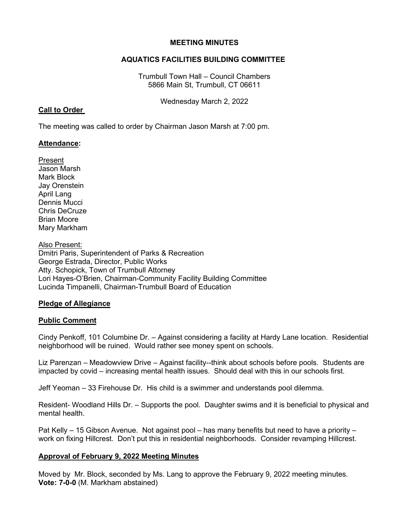#### **MEETING MINUTES**

# **AQUATICS FACILITIES BUILDING COMMITTEE**

Trumbull Town Hall – Council Chambers 5866 Main St, Trumbull, CT 06611

Wednesday March 2, 2022

### **Call to Order**

The meeting was called to order by Chairman Jason Marsh at 7:00 pm.

### **Attendance:**

Present Jason Marsh Mark Block Jay Orenstein April Lang Dennis Mucci Chris DeCruze Brian Moore Mary Markham

Also Present: Dmitri Paris, Superintendent of Parks & Recreation George Estrada, Director, Public Works Atty. Schopick, Town of Trumbull Attorney Lori Hayes-O'Brien, Chairman-Community Facility Building Committee Lucinda Timpanelli, Chairman-Trumbull Board of Education

# **Pledge of Allegiance**

# **Public Comment**

Cindy Penkoff, 101 Columbine Dr. – Against considering a facility at Hardy Lane location. Residential neighborhood will be ruined. Would rather see money spent on schools.

Liz Parenzan – Meadowview Drive – Against facility--think about schools before pools. Students are impacted by covid – increasing mental health issues. Should deal with this in our schools first.

Jeff Yeoman – 33 Firehouse Dr. His child is a swimmer and understands pool dilemma.

Resident- Woodland Hills Dr. – Supports the pool. Daughter swims and it is beneficial to physical and mental health.

Pat Kelly – 15 Gibson Avenue. Not against pool – has many benefits but need to have a priority – work on fixing Hillcrest. Don't put this in residential neighborhoods. Consider revamping Hillcrest.

# **Approval of February 9, 2022 Meeting Minutes**

Moved by Mr. Block, seconded by Ms. Lang to approve the February 9, 2022 meeting minutes. **Vote: 7-0-0** (M. Markham abstained)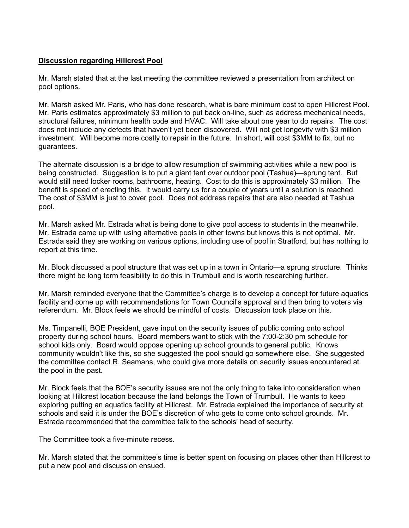### **Discussion regarding Hillcrest Pool**

Mr. Marsh stated that at the last meeting the committee reviewed a presentation from architect on pool options.

Mr. Marsh asked Mr. Paris, who has done research, what is bare minimum cost to open Hillcrest Pool. Mr. Paris estimates approximately \$3 million to put back on-line, such as address mechanical needs, structural failures, minimum health code and HVAC. Will take about one year to do repairs. The cost does not include any defects that haven't yet been discovered. Will not get longevity with \$3 million investment. Will become more costly to repair in the future. In short, will cost \$3MM to fix, but no guarantees.

The alternate discussion is a bridge to allow resumption of swimming activities while a new pool is being constructed. Suggestion is to put a giant tent over outdoor pool (Tashua)—sprung tent. But would still need locker rooms, bathrooms, heating. Cost to do this is approximately \$3 million. The benefit is speed of erecting this. It would carry us for a couple of years until a solution is reached. The cost of \$3MM is just to cover pool. Does not address repairs that are also needed at Tashua pool.

Mr. Marsh asked Mr. Estrada what is being done to give pool access to students in the meanwhile. Mr. Estrada came up with using alternative pools in other towns but knows this is not optimal. Mr. Estrada said they are working on various options, including use of pool in Stratford, but has nothing to report at this time.

Mr. Block discussed a pool structure that was set up in a town in Ontario—a sprung structure. Thinks there might be long term feasibility to do this in Trumbull and is worth researching further.

Mr. Marsh reminded everyone that the Committee's charge is to develop a concept for future aquatics facility and come up with recommendations for Town Council's approval and then bring to voters via referendum. Mr. Block feels we should be mindful of costs. Discussion took place on this.

Ms. Timpanelli, BOE President, gave input on the security issues of public coming onto school property during school hours. Board members want to stick with the 7:00-2:30 pm schedule for school kids only. Board would oppose opening up school grounds to general public. Knows community wouldn't like this, so she suggested the pool should go somewhere else. She suggested the committee contact R. Seamans, who could give more details on security issues encountered at the pool in the past.

Mr. Block feels that the BOE's security issues are not the only thing to take into consideration when looking at Hillcrest location because the land belongs the Town of Trumbull. He wants to keep exploring putting an aquatics facility at Hillcrest. Mr. Estrada explained the importance of security at schools and said it is under the BOE's discretion of who gets to come onto school grounds. Mr. Estrada recommended that the committee talk to the schools' head of security.

The Committee took a five-minute recess.

Mr. Marsh stated that the committee's time is better spent on focusing on places other than Hillcrest to put a new pool and discussion ensued.